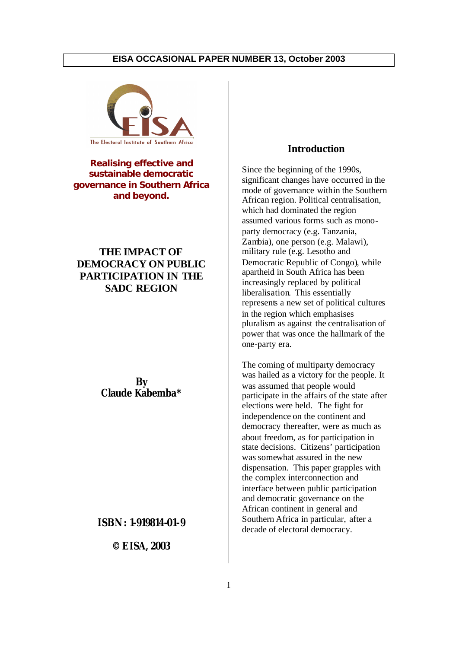

**Realising effective and sustainable democratic governance in Southern Africa and beyond.**

## **THE IMPACT OF DEMOCRACY ON PUBLIC PARTICIPATION IN THE SADC REGION**

**By Claude Kabemba\***

#### **ISBN: 1-919814-01-9**

**© EISA, 2003** 

## **Introduction**

Since the beginning of the 1990s, significant changes have occurred in the mode of governance within the Southern African region. Political centralisation, which had dominated the region assumed various forms such as monoparty democracy (e.g. Tanzania, Zambia), one person (e.g. Malawi), military rule (e.g. Lesotho and Democratic Republic of Congo), while apartheid in South Africa has been increasingly replaced by political liberalisation. This essentially represents a new set of political cultures in the region which emphasises pluralism as against the centralisation of power that was once the hallmark of the one-party era.

The coming of multiparty democracy was hailed as a victory for the people. It was assumed that people would participate in the affairs of the state after elections were held. The fight for independence on the continent and democracy thereafter, were as much as about freedom, as for participation in state decisions. Citizens' participation was somewhat assured in the new dispensation. This paper grapples with the complex interconnection and interface between public participation and democratic governance on the African continent in general and Southern Africa in particular, after a decade of electoral democracy.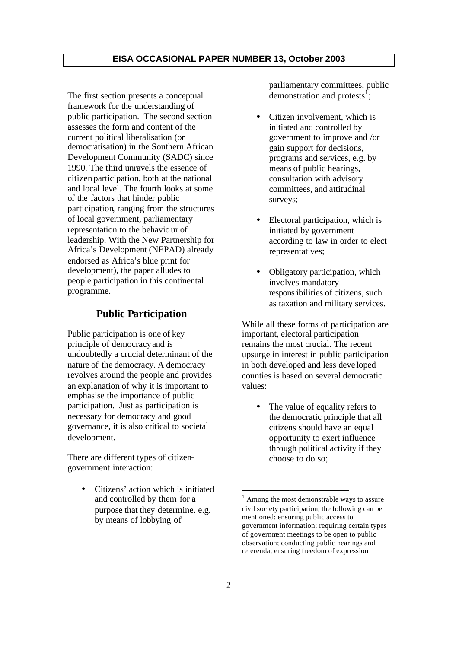The first section presents a conceptual framework for the understanding of public participation. The second section assesses the form and content of the current political liberalisation (or democratisation) in the Southern African Development Community (SADC) since 1990. The third unravels the essence of citizen participation, both at the national and local level. The fourth looks at some of the factors that hinder public participation, ranging from the structures of local government, parliamentary representation to the behaviour of leadership. With the New Partnership for Africa's Development (NEPAD) already endorsed as Africa's blue print for development), the paper alludes to people participation in this continental programme.

## **Public Participation**

Public participation is one of key principle of democracy and is undoubtedly a crucial determinant of the nature of the democracy. A democracy revolves around the people and provides an explanation of why it is important to emphasise the importance of public participation. Just as participation is necessary for democracy and good governance, it is also critical to societal development.

There are different types of citizengovernment interaction:

> • Citizens' action which is initiated and controlled by them for a purpose that they determine. e.g. by means of lobbying of

parliamentary committees, public demonstration and protests<sup> $f$ </sup>;

- Citizen involvement, which is initiated and controlled by government to improve and /or gain support for decisions, programs and services, e.g. by means of public hearings, consultation with advisory committees, and attitudinal surveys;
- Electoral participation, which is initiated by government according to law in order to elect representatives;
- Obligatory participation, which involves mandatory responsibilities of citizens, such as taxation and military services.

While all these forms of participation are important, electoral participation remains the most crucial. The recent upsurge in interest in public participation in both developed and less deve loped counties is based on several democratic values:

• The value of equality refers to the democratic principle that all citizens should have an equal opportunity to exert influence through political activity if they choose to do so;

<sup>1</sup> Among the most demonstrable ways to assure civil society participation, the following can be mentioned: ensuring public access to government information; requiring certain types of government meetings to be open to public observation; conducting public hearings and referenda; ensuring freedom of expression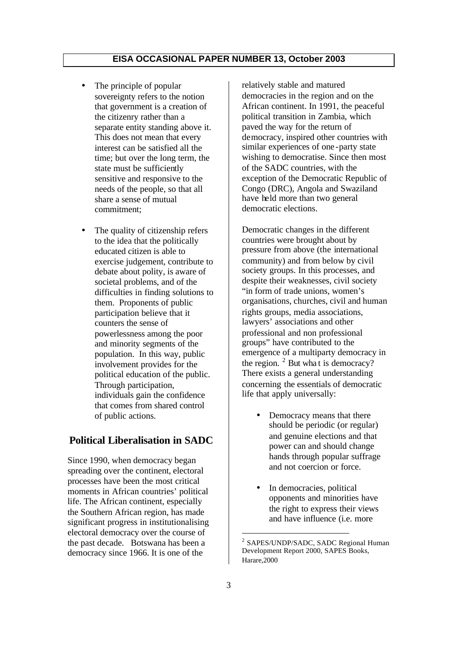- The principle of popular sovereignty refers to the notion that government is a creation of the citizenry rather than a separate entity standing above it. This does not mean that every interest can be satisfied all the time; but over the long term, the state must be sufficiently sensitive and responsive to the needs of the people, so that all share a sense of mutual commitment;
- The quality of citizenship refers to the idea that the politically educated citizen is able to exercise judgement, contribute to debate about polity, is aware of societal problems, and of the difficulties in finding solutions to them. Proponents of public participation believe that it counters the sense of powerlessness among the poor and minority segments of the population. In this way, public involvement provides for the political education of the public. Through participation, individuals gain the confidence that comes from shared control of public actions.

## **Political Liberalisation in SADC**

Since 1990, when democracy began spreading over the continent, electoral processes have been the most critical moments in African countries' political life. The African continent, especially the Southern African region, has made significant progress in institutionalising electoral democracy over the course of the past decade. Botswana has been a democracy since 1966. It is one of the

relatively stable and matured democracies in the region and on the African continent. In 1991, the peaceful political transition in Zambia, which paved the way for the return of democracy, inspired other countries with similar experiences of one -party state wishing to democratise. Since then most of the SADC countries, with the exception of the Democratic Republic of Congo (DRC), Angola and Swaziland have held more than two general democratic elections.

Democratic changes in the different countries were brought about by pressure from above (the international community) and from below by civil society groups. In this processes, and despite their weaknesses, civil society "in form of trade unions, women's organisations, churches, civil and human rights groups, media associations, lawyers' associations and other professional and non professional groups" have contributed to the emergence of a multiparty democracy in the region.  $2$  But what is democracy? There exists a general understanding concerning the essentials of democratic life that apply universally:

- Democracy means that there should be periodic (or regular) and genuine elections and that power can and should change hands through popular suffrage and not coercion or force.
- In democracies, political opponents and minorities have the right to express their views and have influence (i.e. more

<sup>&</sup>lt;sup>2</sup> SAPES/UNDP/SADC, SADC Regional Human Development Report 2000, SAPES Books, Harare,2000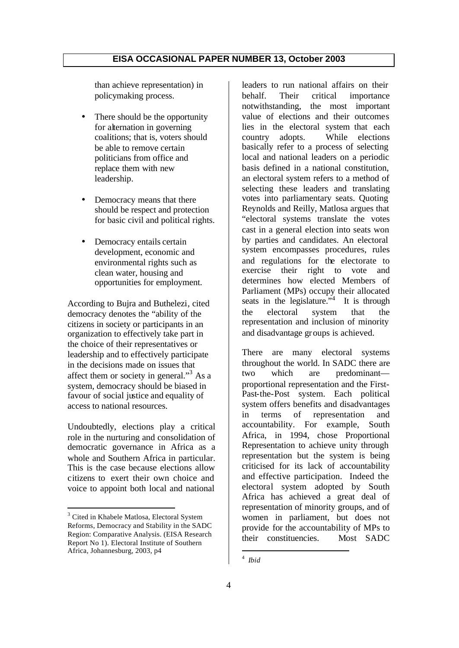than achieve representation) in policymaking process.

- There should be the opportunity for alternation in governing coalitions; that is, voters should be able to remove certain politicians from office and replace them with new leadership.
- Democracy means that there should be respect and protection for basic civil and political rights.
- Democracy entails certain development, economic and environmental rights such as clean water, housing and opportunities for employment.

According to Bujra and Buthelezi, cited democracy denotes the "ability of the citizens in society or participants in an organization to effectively take part in the choice of their representatives or leadership and to effectively participate in the decisions made on issues that affect them or society in general."<sup>3</sup> As a system, democracy should be biased in favour of social justice and equality of access to national resources.

Undoubtedly, elections play a critical role in the nurturing and consolidation of democratic governance in Africa as a whole and Southern Africa in particular. This is the case because elections allow citizens to exert their own choice and voice to appoint both local and national

leaders to run national affairs on their behalf. Their critical importance notwithstanding, the most important value of elections and their outcomes lies in the electoral system that each country adopts. While elections basically refer to a process of selecting local and national leaders on a periodic basis defined in a national constitution, an electoral system refers to a method of selecting these leaders and translating votes into parliamentary seats. Quoting Reynolds and Reilly, Matlosa argues that "electoral systems translate the votes cast in a general election into seats won by parties and candidates. An electoral system encompasses procedures, rules and regulations for the electorate to exercise their right to vote and determines how elected Members of Parliament (MPs) occupy their allocated seats in the legislature.<sup> $34$ </sup> It is through the electoral system that the representation and inclusion of minority and disadvantage groups is achieved.

There are many electoral systems throughout the world. In SADC there are two which are predominant proportional representation and the First-Past-the-Post system. Each political system offers benefits and disadvantages in terms of representation and accountability. For example, South Africa, in 1994, chose Proportional Representation to achieve unity through representation but the system is being criticised for its lack of accountability and effective participation. Indeed the electoral system adopted by South Africa has achieved a great deal of representation of minority groups, and of women in parliament, but does not provide for the accountability of MPs to their constituencies. Most SADC

<sup>&</sup>lt;sup>3</sup> Cited in Khabele Matlosa, Electoral System Reforms, Democracy and Stability in the SADC Region: Comparative Analysis. (EISA Research Report No 1). Electoral Institute of Southern Africa, Johannesburg, 2003, p4

<sup>4</sup> *Ibid*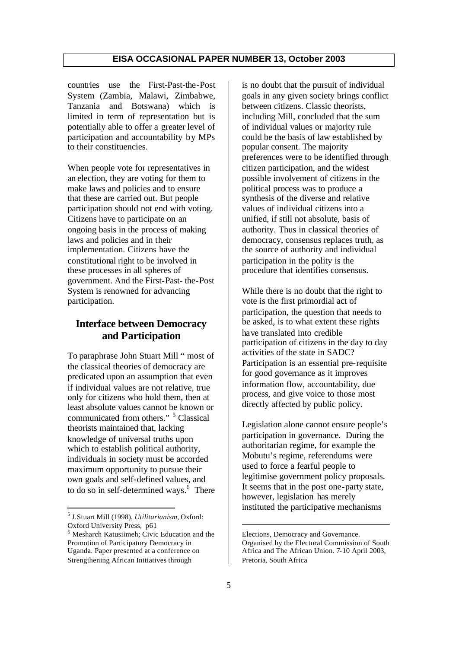countries use the First-Past-the-Post System (Zambia, Malawi, Zimbabwe, Tanzania and Botswana) which is limited in term of representation but is potentially able to offer a greater level of participation and accountability by MPs to their constituencies.

When people vote for representatives in an election, they are voting for them to make laws and policies and to ensure that these are carried out. But people participation should not end with voting. Citizens have to participate on an ongoing basis in the process of making laws and policies and in their implementation. Citizens have the constitutional right to be involved in these processes in all spheres of government. And the First-Past- the-Post System is renowned for advancing participation.

## **Interface between Democracy and Participation**

To paraphrase John Stuart Mill " most of the classical theories of democracy are predicated upon an assumption that even if individual values are not relative, true only for citizens who hold them, then at least absolute values cannot be known or communicated from others." <sup>5</sup> Classical theorists maintained that, lacking knowledge of universal truths upon which to establish political authority, individuals in society must be accorded maximum opportunity to pursue their own goals and self-defined values, and to do so in self-determined ways.<sup>6</sup> There

is no doubt that the pursuit of individual goals in any given society brings conflict between citizens. Classic theorists, including Mill, concluded that the sum of individual values or majority rule could be the basis of law established by popular consent. The majority preferences were to be identified through citizen participation, and the widest possible involvement of citizens in the political process was to produce a synthesis of the diverse and relative values of individual citizens into a unified, if still not absolute, basis of authority. Thus in classical theories of democracy, consensus replaces truth, as the source of authority and individual participation in the polity is the procedure that identifies consensus.

While there is no doubt that the right to vote is the first primordial act of participation, the question that needs to be asked, is to what extent these rights have translated into credible participation of citizens in the day to day activities of the state in SADC? Participation is an essential pre-requisite for good governance as it improves information flow, accountability, due process, and give voice to those most directly affected by public policy.

Legislation alone cannot ensure people's participation in governance. During the authoritarian regime, for example the Mobutu's regime, referendums were used to force a fearful people to legitimise government policy proposals. It seems that in the post one-party state, however, legislation has merely instituted the participative mechanisms

<sup>5</sup> J.Stuart Mill (1998), *Utilitarianism*, Oxford: Oxford University Press, p61

<sup>6</sup> Mesharch Katusiimeh; Civic Education and the Promotion of Participatory Democracy in Uganda. Paper presented at a conference on Strengthening African Initiatives through

Elections, Democracy and Governance. Organised by the Electoral Commission of South Africa and The African Union. 7-10 April 2003, Pretoria, South Africa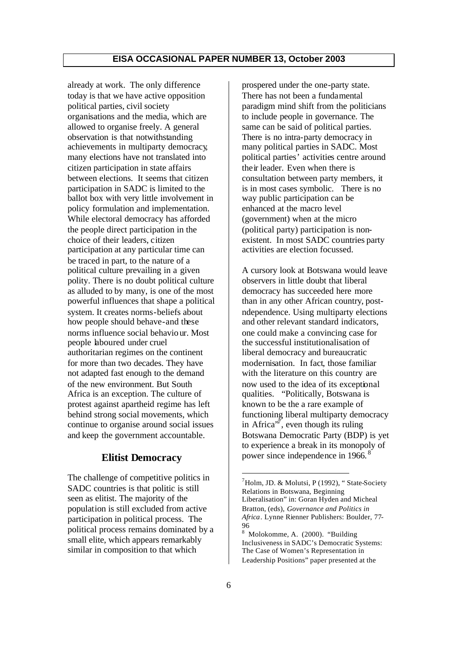already at work. The only difference today is that we have active opposition political parties, civil society organisations and the media, which are allowed to organise freely. A general observation is that notwithstanding achievements in multiparty democracy, many elections have not translated into citizen participation in state affairs between elections. It seems that citizen participation in SADC is limited to the ballot box with very little involvement in policy formulation and implementation. While electoral democracy has afforded the people direct participation in the choice of their leaders, citizen participation at any particular time can be traced in part, to the nature of a political culture prevailing in a given polity. There is no doubt political culture as alluded to by many, is one of the most powerful influences that shape a political system. It creates norms-beliefs about how people should behave-and these norms influence social behavio ur. Most people laboured under cruel authoritarian regimes on the continent for more than two decades. They have not adapted fast enough to the demand of the new environment. But South Africa is an exception. The culture of protest against apartheid regime has left behind strong social movements, which continue to organise around social issues and keep the government accountable.

#### **Elitist Democracy**

The challenge of competitive politics in SADC countries is that politic is still seen as elitist. The majority of the population is still excluded from active participation in political process. The political process remains dominated by a small elite, which appears remarkably similar in composition to that which

prospered under the one-party state. There has not been a fundamental paradigm mind shift from the politicians to include people in governance. The same can be said of political parties. There is no intra-party democracy in many political parties in SADC. Most political parties' activities centre around their leader. Even when there is consultation between party members, it is in most cases symbolic. There is no way public participation can be enhanced at the macro level (government) when at the micro (political party) participation is nonexistent. In most SADC countries party activities are election focussed.

A cursory look at Botswana would leave observers in little doubt that liberal democracy has succeeded here more than in any other African country, postndependence. Using multiparty elections and other relevant standard indicators, one could make a convincing case for the successful institutionalisation of liberal democracy and bureaucratic modernisation. In fact, those familiar with the literature on this country are now used to the idea of its exceptional qualities. "Politically, Botswana is known to be the a rare example of functioning liberal multiparty democracy in Africa<sup> $\sqrt{7}$ </sup>, even though its ruling Botswana Democratic Party (BDP) is yet to experience a break in its monopoly of power since independence in 1966.<sup>8</sup>

 $^7$ Holm, JD. & Molutsi, P (1992), "State-Society Relations in Botswana, Beginning Liberalisation" in: Goran Hyden and Micheal Bratton, (eds), *Governance and Politics in Africa*. Lynne Rienner Publishers: Boulder, 77- 96

<sup>8</sup> Molokomme, A. (2000). "Building Inclusiveness in SADC's Democratic Systems: The Case of Women's Representation in Leadership Positions" paper presented at the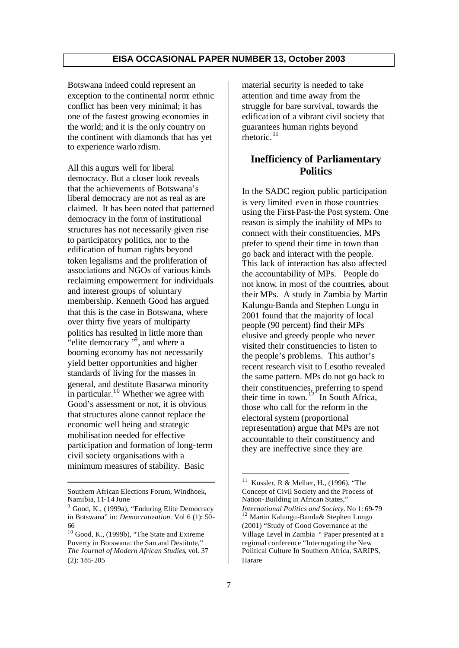Botswana indeed could represent an exception to the continental norm: ethnic conflict has been very minimal; it has one of the fastest growing economies in the world; and it is the only country on the continent with diamonds that has yet to experience warlo rdism.

All this augurs well for liberal democracy. But a closer look reveals that the achievements of Botswana's liberal democracy are not as real as are claimed. It has been noted that patterned democracy in the form of institutional structures has not necessarily given rise to participatory politics, nor to the edification of human rights beyond token legalisms and the proliferation of associations and NGOs of various kinds reclaiming empowerment for individuals and interest groups of voluntary membership. Kenneth Good has argued that this is the case in Botswana, where over thirty five years of multiparty politics has resulted in little more than "elite democracy  $\cdot$ <sup>9</sup>, and where a booming economy has not necessarily yield better opportunities and higher standards of living for the masses in general, and destitute Basarwa minority in particular.<sup>10</sup> Whether we agree with Good's assessment or not, it is obvious that structures alone cannot replace the economic well being and strategic mobilisation needed for effective participation and formation of long-term civil society organisations with a minimum measures of stability. Basic

material security is needed to take attention and time away from the struggle for bare survival, towards the edification of a vibrant civil society that guarantees human rights beyond rhetoric. $^{11}$ 

## **Inefficiency of Parliamentary Politics**

In the SADC region, public participation is very limited even in those countries using the First-Past-the Post system. One reason is simply the inability of MPs to connect with their constituencies. MPs prefer to spend their time in town than go back and interact with the people. This lack of interaction has also affected the accountability of MPs. People do not know, in most of the countries, about their MPs. A study in Zambia by Martin Kalungu-Banda and Stephen Lungu in 2001 found that the majority of local people (90 percent) find their MPs elusive and greedy people who never visited their constituencies to listen to the people's problems. This author's recent research visit to Lesotho revealed the same pattern. MPs do not go back to their constituencies, preferring to spend their time in town.  $12^{2}$  In South Africa, those who call for the reform in the electoral system (proportional representation) argue that MPs are not accountable to their constituency and they are ineffective since they are

Southern African Elections Forum, Windhoek, Namibia, 11-14 June

<sup>&</sup>lt;sup>9</sup> Good, K., (1999a), "Enduring Elite Democracy in Botswana" in*: Democratization*. Vol 6 (1): 50- 66

 $10$  Good, K., (1999b), "The State and Extreme Poverty in Botswana: the San and Destitute," *The Journal of Modern African Studies*, vol. 37 (2): 185-205

<sup>11</sup> Kossler, R & Melber, H., (1996), "The Concept of Civil Society and the Process of Nation-Building in African States," *International Politics and Society*. No 1: 69-79 <sup>12</sup> Martin Kalungu-Banda& Stephen Lungu (2001) "Study of Good Governance at the Village Level in Zambia " Paper presented at a regional conference "Interrogating the New Political Culture In Southern Africa, SARIPS, Harare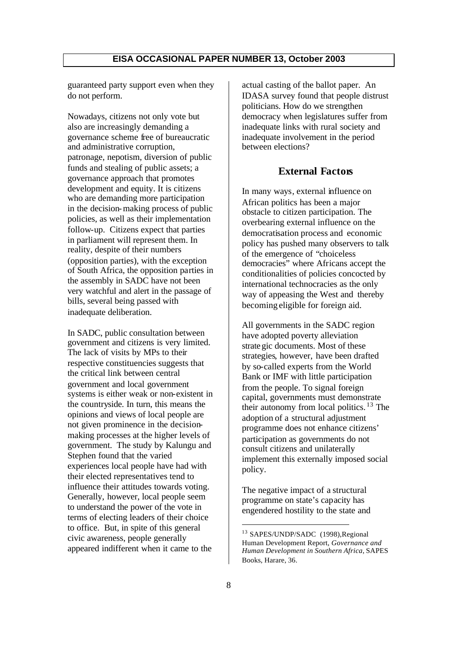guaranteed party support even when they do not perform.

Nowadays, citizens not only vote but also are increasingly demanding a governance scheme free of bureaucratic and administrative corruption, patronage, nepotism, diversion of public funds and stealing of public assets; a governance approach that promotes development and equity. It is citizens who are demanding more participation in the decision-making process of public policies, as well as their implementation follow-up. Citizens expect that parties in parliament will represent them. In reality, despite of their numbers (opposition parties), with the exception of South Africa, the opposition parties in the assembly in SADC have not been very watchful and alert in the passage of bills, several being passed with inadequate deliberation.

In SADC, public consultation between government and citizens is very limited. The lack of visits by MPs to their respective constituencies suggests that the critical link between central government and local government systems is either weak or non-existent in the countryside. In turn, this means the opinions and views of local people are not given prominence in the decisionmaking processes at the higher levels of government. The study by Kalungu and Stephen found that the varied experiences local people have had with their elected representatives tend to influence their attitudes towards voting. Generally, however, local people seem to understand the power of the vote in terms of electing leaders of their choice to office. But, in spite of this general civic awareness, people generally appeared indifferent when it came to the

actual casting of the ballot paper. An IDASA survey found that people distrust politicians. How do we strengthen democracy when legislatures suffer from inadequate links with rural society and inadequate involvement in the period between elections?

#### **External Factors**

In many ways, external influence on African politics has been a major obstacle to citizen participation. The overbearing external influence on the democratisation process and economic policy has pushed many observers to talk of the emergence of "choiceless democracies" where Africans accept the conditionalities of policies concocted by international technocracies as the only way of appeasing the West and thereby becoming eligible for foreign aid.

All governments in the SADC region have adopted poverty alleviation strate gic documents. Most of these strategies, however, have been drafted by so-called experts from the World Bank or IMF with little participation from the people. To signal foreign capital, governments must demonstrate their autonomy from local politics.  $13$  The adoption of a structural adjustment programme does not enhance citizens' participation as governments do not consult citizens and unilaterally implement this externally imposed social policy.

The negative impact of a structural programme on state's capacity has engendered hostility to the state and

<sup>13</sup> SAPES/UNDP/SADC (1998),Regional Human Development Report, *Governance and Human Development in Southern Africa*, SAPES Books, Harare, 36.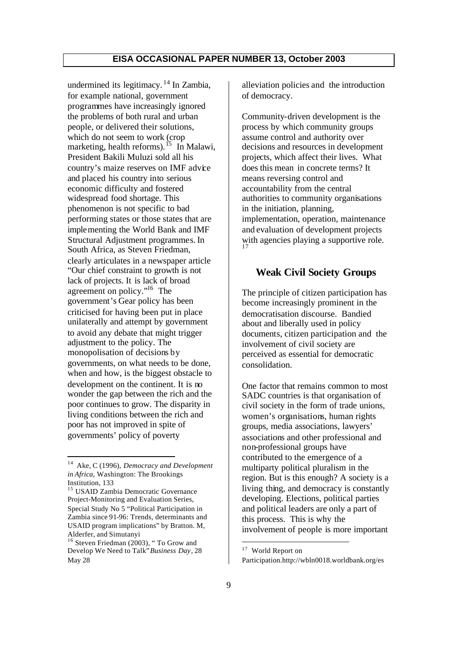undermined its legitimacy.  $14$  In Zambia, for example national, government programmes have increasingly ignored the problems of both rural and urban people, or delivered their solutions, which do not seem to work (crop marketing, health reforms).<sup>15</sup> In Malawi, President Bakili Muluzi sold all his country's maize reserves on IMF advice and placed his country into serious economic difficulty and fostered widespread food shortage. This phenomenon is not specific to bad performing states or those states that are implementing the World Bank and IMF Structural Adjustment programmes. In South Africa, as Steven Friedman, clearly articulates in a newspaper article "Our chief constraint to growth is not lack of projects. It is lack of broad agreement on policy."<sup>16</sup> The government's Gear policy has been criticised for having been put in place unilaterally and attempt by government to avoid any debate that might trigger adjustment to the policy. The monopolisation of decisions by governments, on what needs to be done, when and how, is the biggest obstacle to development on the continent. It is no wonder the gap between the rich and the poor continues to grow. The disparity in living conditions between the rich and poor has not improved in spite of governments' policy of poverty

alleviation policies and the introduction of democracy.

Community-driven development is the process by which community groups assume control and authority over decisions and resources in development projects, which affect their lives. What does this mean in concrete terms? It means reversing control and accountability from the central authorities to community organisations in the initiation, planning, implementation, operation, maintenance and evaluation of development projects with agencies playing a supportive role.

#### **Weak Civil Society Groups**

The principle of citizen participation has become increasingly prominent in the democratisation discourse. Bandied about and liberally used in policy documents, citizen participation and the involvement of civil society are perceived as essential for democratic consolidation.

One factor that remains common to most SADC countries is that organisation of civil society in the form of trade unions, women's organisations, human rights groups, media associations, lawyers' associations and other professional and non-professional groups have contributed to the emergence of a multiparty political pluralism in the region. But is this enough? A society is a living thing, and democracy is constantly developing. Elections, political parties and political leaders are only a part of this process. This is why the involvement of people is more important

<sup>14</sup> Ake, C (1996), *Democracy and Development in Africa,* Washington: The Brookings Institution, 133

<sup>&</sup>lt;sup>15</sup> USAID Zambia Democratic Governance Project-Monitoring and Evaluation Series, Special Study No 5 "Political Participation in Zambia since 91-96: Trends, determinants and USAID program implications" by Bratton. M, Alderfer, and Simutanyi

<sup>&</sup>lt;sup>16</sup> Steven Friedman (2003), "To Grow and Develop We Need to Talk" *Business Day*, 28 May 28

<sup>&</sup>lt;sup>17</sup> World Report on Participation.http://wbln0018.worldbank.org/es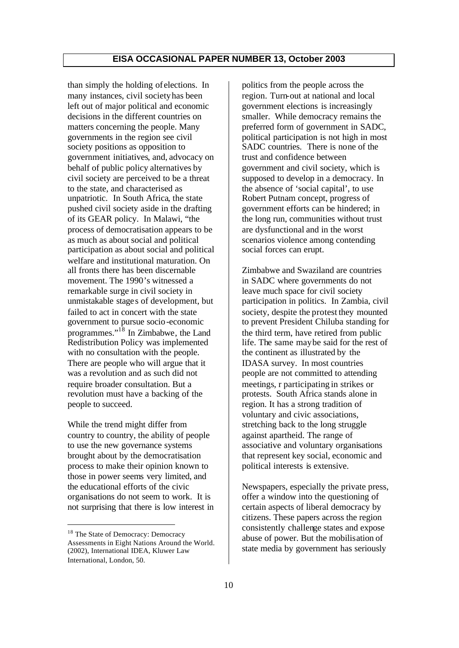than simply the holding of elections. In many instances, civil society has been left out of major political and economic decisions in the different countries on matters concerning the people. Many governments in the region see civil society positions as opposition to government initiatives, and, advocacy on behalf of public policy alternatives by civil society are perceived to be a threat to the state, and characterised as unpatriotic. In South Africa, the state pushed civil society aside in the drafting of its GEAR policy. In Malawi, "the process of democratisation appears to be as much as about social and political participation as about social and political welfare and institutional maturation. On all fronts there has been discernable movement. The 1990's witnessed a remarkable surge in civil society in unmistakable stage s of development, but failed to act in concert with the state government to pursue socio-economic programmes." $1^{\delta}$  In Zimbabwe, the Land Redistribution Policy was implemented with no consultation with the people. There are people who will argue that it was a revolution and as such did not require broader consultation. But a revolution must have a backing of the people to succeed.

While the trend might differ from country to country, the ability of people to use the new governance systems brought about by the democratisation process to make their opinion known to those in power seems very limited, and the educational efforts of the civic organisations do not seem to work. It is not surprising that there is low interest in

politics from the people across the region. Turn-out at national and local government elections is increasingly smaller. While democracy remains the preferred form of government in SADC, political participation is not high in most SADC countries. There is none of the trust and confidence between government and civil society, which is supposed to develop in a democracy. In the absence of 'social capital', to use Robert Putnam concept, progress of government efforts can be hindered; in the long run, communities without trust are dysfunctional and in the worst scenarios violence among contending social forces can erupt.

Zimbabwe and Swaziland are countries in SADC where governments do not leave much space for civil society participation in politics. In Zambia, civil society, despite the protest they mounted to prevent President Chiluba standing for the third term, have retired from public life. The same may be said for the rest of the continent as illustrated by the IDASA survey. In most countries people are not committed to attending meetings, r participating in strikes or protests. South Africa stands alone in region. It has a strong tradition of voluntary and civic associations, stretching back to the long struggle against apartheid. The range of associative and voluntary organisations that represent key social, economic and political interests is extensive.

Newspapers, especially the private press, offer a window into the questioning of certain aspects of liberal democracy by citizens. These papers across the region consistently challenge states and expose abuse of power. But the mobilisation of state media by government has seriously

<sup>&</sup>lt;sup>18</sup> The State of Democracy: Democracy Assessments in Eight Nations Around the World. (2002), International IDEA, Kluwer Law International, London, 50.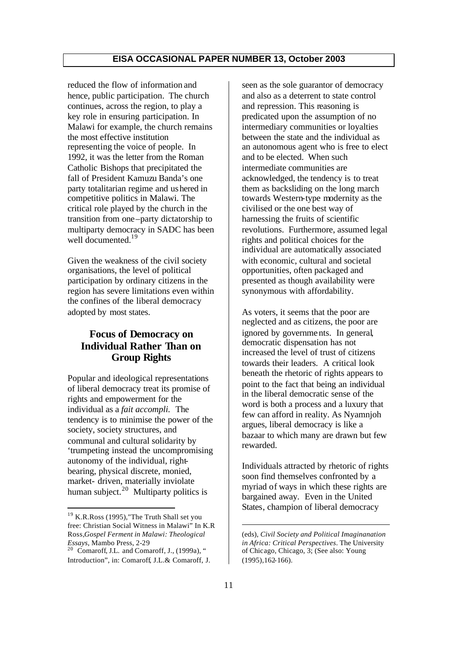reduced the flow of information and hence, public participation. The church continues, across the region, to play a key role in ensuring participation. In Malawi for example, the church remains the most effective institution representing the voice of people. In 1992, it was the letter from the Roman Catholic Bishops that precipitated the fall of President Kamuzu Banda's one party totalitarian regime and ushered in competitive politics in Malawi. The critical role played by the church in the transition from one–party dictatorship to multiparty democracy in SADC has been well documented.<sup>19</sup>

Given the weakness of the civil society organisations, the level of political participation by ordinary citizens in the region has severe limitations even within the confines of the liberal democracy adopted by most states.

## **Focus of Democracy on Individual Rather Than on Group Rights**

Popular and ideological representations of liberal democracy treat its promise of rights and empowerment for the individual as a *fait accompli.* The tendency is to minimise the power of the society, society structures, and communal and cultural solidarity by 'trumpeting instead the uncompromising autonomy of the individual, rightbearing, physical discrete, monied, market- driven, materially inviolate human subject.<sup>20</sup> Multiparty politics is

seen as the sole guarantor of democracy and also as a deterrent to state control and repression. This reasoning is predicated upon the assumption of no intermediary communities or loyalties between the state and the individual as an autonomous agent who is free to elect and to be elected. When such intermediate communities are acknowledged, the tendency is to treat them as backsliding on the long march towards Western-type modernity as the civilised or the one best way of harnessing the fruits of scientific revolutions. Furthermore, assumed legal rights and political choices for the individual are automatically associated with economic, cultural and societal opportunities, often packaged and presented as though availability were synonymous with affordability.

As voters, it seems that the poor are neglected and as citizens, the poor are ignored by governments. In general, democratic dispensation has not increased the level of trust of citizens towards their leaders. A critical look beneath the rhetoric of rights appears to point to the fact that being an individual in the liberal democratic sense of the word is both a process and a luxury that few can afford in reality. As Nyamnjoh argues, liberal democracy is like a bazaar to which many are drawn but few rewarded.

Individuals attracted by rhetoric of rights soon find themselves confronted by a myriad of ways in which these rights are bargained away. Even in the United States, champion of liberal democracy

<sup>&</sup>lt;sup>19</sup> K.R.Ross (1995), The Truth Shall set you free: Christian Social Witness in Malawi" In K.R Ross,*Gospel Ferment in Malawi: Theological Essays*, Mambo Press, 2-29

<sup>&</sup>lt;sup>20</sup> Comaroff, J.L. and Comaroff, J.,  $(1999a)$ , " Introduction", in: Comaroff, J.L.& Comaroff, J.

<sup>(</sup>eds), *Civil Society and Political Imaginanation in Africa: Critical Perspectives*. The University of Chicago, Chicago, 3; (See also: Young (1995),162-166).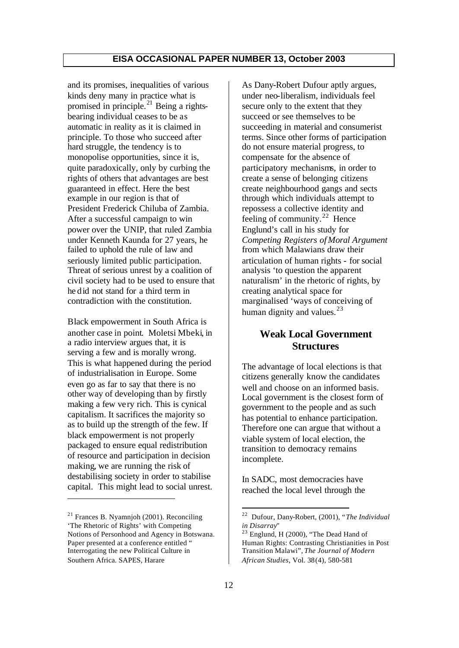and its promises, inequalities of various kinds deny many in practice what is promised in principle.<sup>21</sup> Being a rightsbearing individual ceases to be as automatic in reality as it is claimed in principle. To those who succeed after hard struggle, the tendency is to monopolise opportunities, since it is, quite paradoxically, only by curbing the rights of others that advantages are best guaranteed in effect. Here the best example in our region is that of President Frederick Chiluba of Zambia. After a successful campaign to win power over the UNIP, that ruled Zambia under Kenneth Kaunda for 27 years, he failed to uphold the rule of law and seriously limited public participation. Threat of serious unrest by a coalition of civil society had to be used to ensure that he did not stand for a third term in contradiction with the constitution.

Black empowerment in South Africa is another case in point. Moletsi Mbeki, in a radio interview argues that, it is serving a few and is morally wrong. This is what happened during the period of industrialisation in Europe. Some even go as far to say that there is no other way of developing than by firstly making a few ve ry rich. This is cynical capitalism. It sacrifices the majority so as to build up the strength of the few. If black empowerment is not properly packaged to ensure equal redistribution of resource and participation in decision making, we are running the risk of destabilising society in order to stabilise capital. This might lead to social unrest.

As Dany-Robert Dufour aptly argues, under neo-liberalism, individuals feel secure only to the extent that they succeed or see themselves to be succeeding in material and consumerist terms. Since other forms of participation do not ensure material progress, to compensate for the absence of participatory mechanisms, in order to create a sense of belonging citizens create neighbourhood gangs and sects through which individuals attempt to repossess a collective identity and feeling of community.<sup>22</sup> Hence Englund's call in his study for *Competing Registers of Moral Argument* from which Malawians draw their articulation of human rights - for social analysis 'to question the apparent naturalism' in the rhetoric of rights, by creating analytical space for marginalised 'ways of conceiving of human dignity and values. $23$ 

## **Weak Local Government Structures**

The advantage of local elections is that citizens generally know the candidates well and choose on an informed basis. Local government is the closest form of government to the people and as such has potential to enhance participation. Therefore one can argue that without a viable system of local election, the transition to democracy remains incomplete.

In SADC, most democracies have reached the local level through the

 $21$  Frances B. Nyamnjoh (2001). Reconciling 'The Rhetoric of Rights' with Competing Notions of Personhood and Agency in Botswana. Paper presented at a conference entitled " Interrogating the new Political Culture in Southern Africa. SAPES, Harare

 $2\sqrt{2}$ <sup>22</sup> Dufour, Dany-Robert, (2001), "*The Individual in Disarray*"

 $23$  Englund, H (2000), "The Dead Hand of Human Rights: Contrasting Christianities in Post Transition Malawi", *The Journal of Modern African Studies*, Vol. 38 (4), 580-581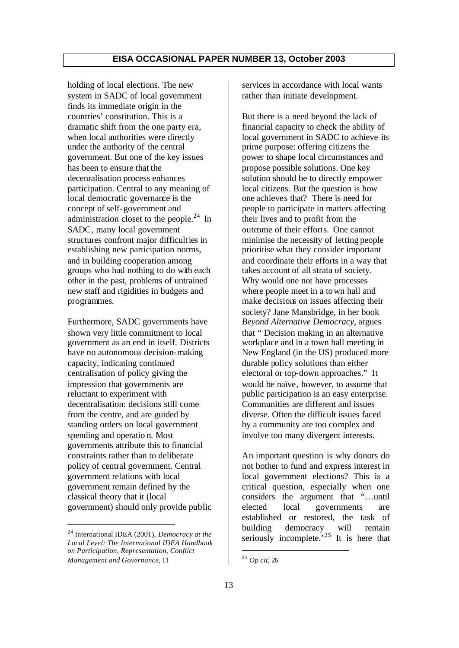holding of local elections. The new system in SADC of local government finds its immediate origin in the countries' constitution. This is a dramatic shift from the one party era, when local authorities were directly under the authority of the central government. But one of the key issues has been to ensure that the decenralisation process enhances participation. Central to any meaning of local democratic governance is the concept of self-government and administration closet to the people.<sup>24</sup> In SADC, many local government structures confront major difficulties in establishing new participation norms, and in building cooperation among groups who had nothing to do with each other in the past, problems of untrained new staff and rigidities in budgets and programmes.

Furthermore, SADC governments have shown very little commitment to local government as an end in itself. Districts have no autonomous decision-making capacity, indicating continued centralisation of policy giving the impression that governments are reluctant to experiment with decentralisation: decisions still come from the centre, and are guided by standing orders on local government spending and operatio n. Most governments attribute this to financial constraints rather than to deliberate policy of central government. Central government relations with local government remain defined by the classical theory that it (local government) should only provide public

services in accordance with local wants rather than initiate development.

But there is a need beyond the lack of financial capacity to check the ability of local government in SADC to achieve its prime purpose: offering citizens the power to shape local circumstances and propose possible solutions. One key solution should be to directly empower local citizens. But the question is how one achieves that? There is need for people to participate in matters affecting their lives and to profit from the outcome of their efforts. One cannot minimise the necessity of letting people prioritise what they consider important and coordinate their efforts in a way that takes account of all strata of society. Why would one not have processes where people meet in a town hall and make decisions on issues affecting their society? Jane Mansbridge, in her book *Beyond Alternative Democracy,* argues that " Decision making in an alternative workplace and in a town hall meeting in New England (in the US) produced more durable policy solutions than either electoral or top-down approaches." It would be naïve, however, to assume that public participation is an easy enterprise. Communities are different and issues diverse. Often the difficult issues faced by a community are too complex and involve too many divergent interests.

An important question is why donors do not bother to fund and express interest in local government elections? This is a critical question, especially when one considers the argument that "…until elected local governments are established or restored, the task of building democracy will remain seriously incomplete.<sup>25</sup> It is here that

<sup>24</sup> International IDEA (2001), *Democracy at the Local Level: The International IDEA Handbook on Participation, Representation, Conflict Management and Governance*, 11

<sup>25</sup> *Op cit*, 26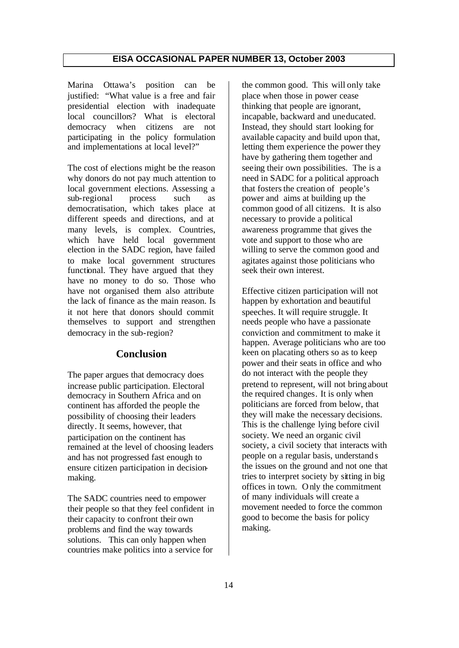Marina Ottawa's position can be justified: "What value is a free and fair presidential election with inadequate local councillors? What is electoral democracy when citizens are not participating in the policy formulation and implementations at local level?"

The cost of elections might be the reason why donors do not pay much attention to local government elections. Assessing a sub-regional process such as democratisation, which takes place at different speeds and directions, and at many levels, is complex. Countries, which have held local government election in the SADC region, have failed to make local government structures functional. They have argued that they have no money to do so. Those who have not organised them also attribute the lack of finance as the main reason. Is it not here that donors should commit themselves to support and strengthen democracy in the sub-region?

## **Conclusion**

The paper argues that democracy does increase public participation. Electoral democracy in Southern Africa and on continent has afforded the people the possibility of choosing their leaders directly. It seems, however, that participation on the continent has remained at the level of choosing leaders and has not progressed fast enough to ensure citizen participation in decisionmaking.

The SADC countries need to empower their people so that they feel confident in their capacity to confront their own problems and find the way towards solutions. This can only happen when countries make politics into a service for

the common good. This will only take place when those in power cease thinking that people are ignorant, incapable, backward and uneducated. Instead, they should start looking for available capacity and build upon that, letting them experience the power they have by gathering them together and seeing their own possibilities. The is a need in SADC for a political approach that fosters the creation of people's power and aims at building up the common good of all citizens. It is also necessary to provide a political awareness programme that gives the vote and support to those who are willing to serve the common good and agitates against those politicians who seek their own interest.

Effective citizen participation will not happen by exhortation and beautiful speeches. It will require struggle. It needs people who have a passionate conviction and commitment to make it happen. Average politicians who are too keen on placating others so as to keep power and their seats in office and who do not interact with the people they pretend to represent, will not bring about the required changes. It is only when politicians are forced from below, that they will make the necessary decisions. This is the challenge lying before civil society. We need an organic civil society, a civil society that interacts with people on a regular basis, understands the issues on the ground and not one that tries to interpret society by sitting in big offices in town. O nly the commitment of many individuals will create a movement needed to force the common good to become the basis for policy making.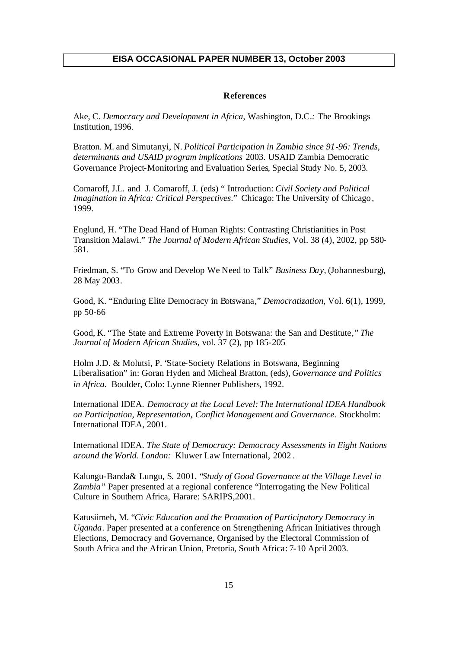#### **References**

Ake, C. *Democracy and Development in Africa,* Washington, D.C*.:* The Brookings Institution, 1996.

Bratton. M. and Simutanyi, N. *Political Participation in Zambia since 91-96: Trends, determinants and USAID program implications* 2003. USAID Zambia Democratic Governance Project-Monitoring and Evaluation Series, Special Study No. 5, 2003.

Comaroff, J.L. and J. Comaroff, J. (eds) " Introduction: *Civil Society and Political Imagination in Africa: Critical Perspectives*." Chicago: The University of Chicago, 1999.

Englund, H. "The Dead Hand of Human Rights: Contrasting Christianities in Post Transition Malawi." *The Journal of Modern African Studies*, Vol. 38 (4), 2002, pp 580- 581.

Friedman, S. "To Grow and Develop We Need to Talk" *Business Day*, (Johannesburg), 28 May 2003.

Good, K. "Enduring Elite Democracy in Botswana," *Democratization,* Vol. 6(1), 1999, pp 50-66

Good, K. "The State and Extreme Poverty in Botswana: the San and Destitute," *The Journal of Modern African Studies*, vol. 37 (2), pp 185-205

Holm J.D. & Molutsi, P. "State-Society Relations in Botswana, Beginning Liberalisation*"* in: Goran Hyden and Micheal Bratton, (eds), *Governance and Politics in Africa*. Boulder, Colo: Lynne Rienner Publishers, 1992.

International IDEA. *Democracy at the Local Level: The International IDEA Handbook on Participation, Representation, Conflict Management and Governance.* Stockholm: International IDEA, 2001.

International IDEA. *The State of Democracy: Democracy Assessments in Eight Nations around the World. London:* Kluwer Law International, 2002 .

Kalungu-Banda& Lungu, S. 2001. "*Study of Good Governance at the Village Level in Zambia"* Paper presented at a regional conference "Interrogating the New Political Culture in Southern Africa, Harare: SARIPS,2001.

Katusiimeh, M. "*Civic Education and the Promotion of Participatory Democracy in Uganda*. Paper presented at a conference on Strengthening African Initiatives through Elections, Democracy and Governance, Organised by the Electoral Commission of South Africa and the African Union, Pretoria, South Africa: 7-10 April 2003.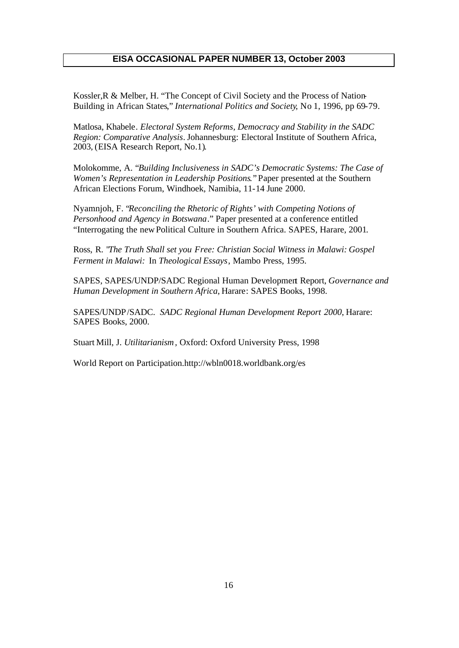Kossler,R & Melber, H. "The Concept of Civil Society and the Process of Nation-Building in African States," *International Politics and Society*, No 1, 1996, pp 69-79.

Matlosa, Khabele. *Electoral System Reforms, Democracy and Stability in the SADC Region: Comparative Analysis*. Johannesburg: Electoral Institute of Southern Africa, 2003, (EISA Research Report, No.1).

Molokomme, A. "*Building Inclusiveness in SADC's Democratic Systems: The Case of Women's Representation in Leadership Positions.*" Paper presented at the Southern African Elections Forum, Windhoek, Namibia, 11-14 June 2000.

Nyamnjoh, F. "*Reconciling the Rhetoric of Rights' with Competing Notions of Personhood and Agency in Botswana*." Paper presented at a conference entitled "Interrogating the new Political Culture in Southern Africa. SAPES, Harare, 2001.

Ross, R. "*The Truth Shall set you Free: Christian Social Witness in Malawi: Gospel Ferment in Malawi:* In *Theological Essays*, Mambo Press, 1995.

SAPES, SAPES/UNDP/SADC Regional Human Development Report, *Governance and Human Development in Southern Africa*, Harare: SAPES Books, 1998.

SAPES/UNDP/SADC. *SADC Regional Human Development Report 2000*, Harare: SAPES Books, 2000.

Stuart Mill, J. *Utilitarianism,* Oxford: Oxford University Press, 1998

World Report on Participation.http://wbln0018.worldbank.org/es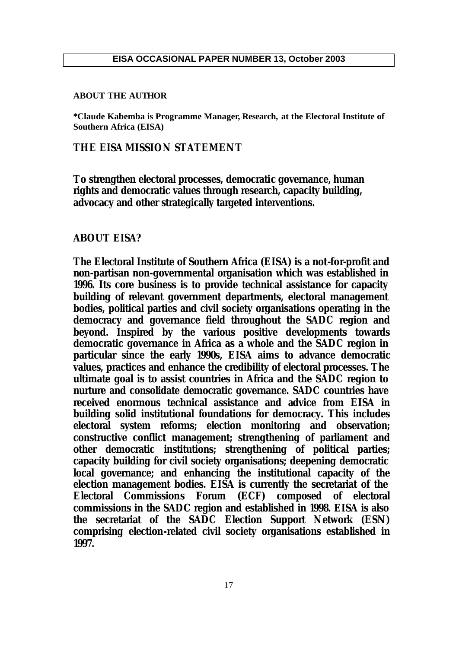#### **ABOUT THE AUTHOR**

**\*Claude Kabemba is Programme Manager, Research, at the Electoral Institute of Southern Africa (EISA)** 

## **THE EISA MISSION STATEMENT**

**To strengthen electoral processes, democratic governance, human rights and democratic values through research, capacity building, advocacy and other strategically targeted interventions.**

#### **ABOUT EISA?**

**The Electoral Institute of Southern Africa (EISA) is a not-for-profit and non-partisan non-governmental organisation which was established in 1996. Its core business is to provide technical assistance for capacity building of relevant government departments, electoral management bodies, political parties and civil society organisations operating in the democracy and governance field throughout the SADC region and beyond. Inspired by the various positive developments towards democratic governance in Africa as a whole and the SADC region in particular since the early 1990s, EISA aims to advance democratic values, practices and enhance the credibility of electoral processes. The ultimate goal is to assist countries in Africa and the SADC region to nurture and consolidate democratic governance. SADC countries have received enormous technical assistance and advice from EISA in building solid institutional foundations for democracy. This includes electoral system reforms; election monitoring and observation; constructive conflict management; strengthening of parliament and other democratic institutions; strengthening of political parties; capacity building for civil society organisations; deepening democratic local governance; and enhancing the institutional capacity of the election management bodies. EISA is currently the secretariat of the Electoral Commissions Forum (ECF) composed of electoral commissions in the SADC region and established in 1998. EISA is also the secretariat of the SADC Election Support Network (ESN) comprising election-related civil society organisations established in 1997.**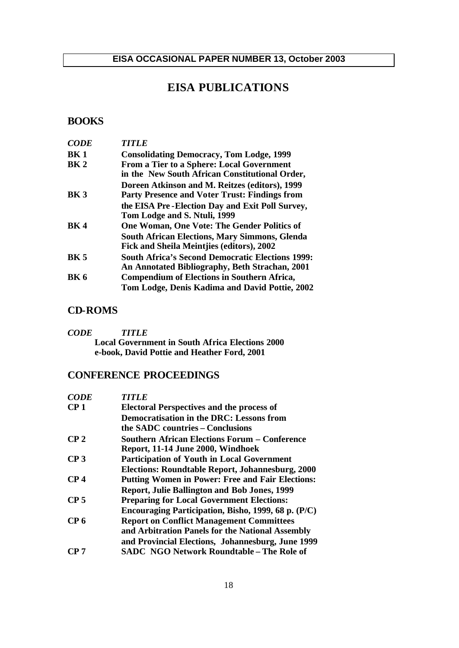## **EISA PUBLICATIONS**

## **BOOKS**

| <b>CODE</b>     | <i><b>TITLE</b></i>                                     |
|-----------------|---------------------------------------------------------|
| BK <sub>1</sub> | <b>Consolidating Democracy, Tom Lodge, 1999</b>         |
| BK <sub>2</sub> | <b>From a Tier to a Sphere: Local Government</b>        |
|                 | in the New South African Constitutional Order,          |
|                 | Doreen Atkinson and M. Reitzes (editors), 1999          |
| <b>BK3</b>      | <b>Party Presence and Voter Trust: Findings from</b>    |
|                 | the EISA Pre-Election Day and Exit Poll Survey,         |
|                 | Tom Lodge and S. Ntuli, 1999                            |
| <b>BK4</b>      | One Woman, One Vote: The Gender Politics of             |
|                 | <b>South African Elections, Mary Simmons, Glenda</b>    |
|                 | Fick and Sheila Meintjies (editors), 2002               |
| <b>BK 5</b>     | <b>South Africa's Second Democratic Elections 1999:</b> |
|                 | An Annotated Bibliography, Beth Strachan, 2001          |
| <b>BK 6</b>     | <b>Compendium of Elections in Southern Africa,</b>      |
|                 | Tom Lodge, Denis Kadima and David Pottie, 2002          |

## **CD-ROMS**

*CODE TITLE* **Local Government in South Africa Elections 2000 e-book, David Pottie and Heather Ford, 2001**

## **CONFERENCE PROCEEDINGS**

| <b>CODE</b>     | <b>TITLE</b>                                            |
|-----------------|---------------------------------------------------------|
| CP <sub>1</sub> | <b>Electoral Perspectives and the process of</b>        |
|                 | <b>Democratisation in the DRC: Lessons from</b>         |
|                 | the SADC countries – Conclusions                        |
| CP <sub>2</sub> | <b>Southern African Elections Forum – Conference</b>    |
|                 | Report, 11-14 June 2000, Windhoek                       |
| CP <sub>3</sub> | <b>Participation of Youth in Local Government</b>       |
|                 | Elections: Roundtable Report, Johannesburg, 2000        |
| CP <sub>4</sub> | <b>Putting Women in Power: Free and Fair Elections:</b> |
|                 | <b>Report, Julie Ballington and Bob Jones, 1999</b>     |
| CP <sub>5</sub> | <b>Preparing for Local Government Elections:</b>        |
|                 | Encouraging Participation, Bisho, 1999, 68 p. (P/C)     |
| CP 6            | <b>Report on Conflict Management Committees</b>         |
|                 | and Arbitration Panels for the National Assembly        |
|                 | and Provincial Elections, Johannesburg, June 1999       |
| CP 7            | <b>SADC NGO Network Roundtable - The Role of</b>        |
|                 |                                                         |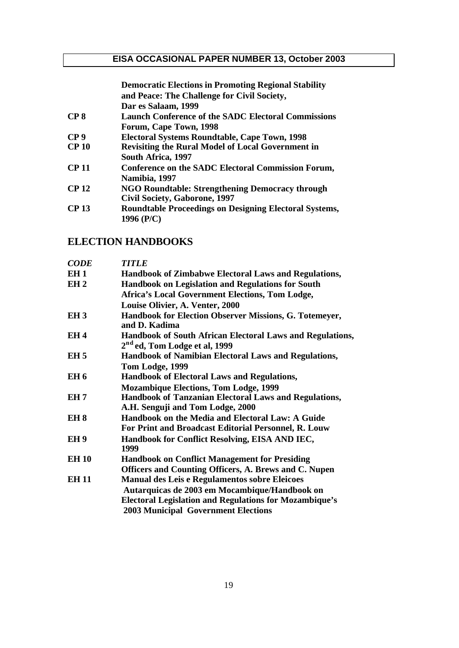|                  | <b>Democratic Elections in Promoting Regional Stability</b>   |
|------------------|---------------------------------------------------------------|
|                  | and Peace: The Challenge for Civil Society,                   |
|                  | Dar es Salaam, 1999                                           |
| CP <sub>8</sub>  | <b>Launch Conference of the SADC Electoral Commissions</b>    |
|                  | Forum, Cape Town, 1998                                        |
| CP <sub>9</sub>  | <b>Electoral Systems Roundtable, Cape Town, 1998</b>          |
| CP <sub>10</sub> | <b>Revisiting the Rural Model of Local Government in</b>      |
|                  | South Africa, 1997                                            |
| CP <sub>11</sub> | <b>Conference on the SADC Electoral Commission Forum,</b>     |
|                  | Namibia, 1997                                                 |
| <b>CP 12</b>     | NGO Roundtable: Strengthening Democracy through               |
|                  | <b>Civil Society, Gaborone, 1997</b>                          |
| <b>CP 13</b>     | <b>Roundtable Proceedings on Designing Electoral Systems,</b> |
|                  | 1996 (P/C)                                                    |
|                  |                                                               |

## **ELECTION HANDBOOKS**

| <b>CODE</b>     | <b>TITLE</b>                                                  |
|-----------------|---------------------------------------------------------------|
| EH <sub>1</sub> | Handbook of Zimbabwe Electoral Laws and Regulations,          |
| EH <sub>2</sub> | Handbook on Legislation and Regulations for South             |
|                 | <b>Africa's Local Government Elections, Tom Lodge,</b>        |
|                 | Louise Olivier, A. Venter, 2000                               |
| EH <sub>3</sub> | Handbook for Election Observer Missions, G. Totemeyer,        |
|                 | and D. Kadima                                                 |
| EH <sub>4</sub> | Handbook of South African Electoral Laws and Regulations,     |
|                 | 2 <sup>nd</sup> ed, Tom Lodge et al, 1999                     |
| EH <sub>5</sub> | Handbook of Namibian Electoral Laws and Regulations,          |
|                 | Tom Lodge, 1999                                               |
| EH 6            | <b>Handbook of Electoral Laws and Regulations,</b>            |
|                 | <b>Mozambique Elections, Tom Lodge, 1999</b>                  |
| EH <sub>7</sub> | Handbook of Tanzanian Electoral Laws and Regulations,         |
|                 | A.H. Senguji and Tom Lodge, 2000                              |
| EH <sub>8</sub> | Handbook on the Media and Electoral Law: A Guide              |
|                 | For Print and Broadcast Editorial Personnel, R. Louw          |
| EH <sub>9</sub> | Handbook for Conflict Resolving, EISA AND IEC,                |
|                 | 1999                                                          |
| <b>EH 10</b>    | <b>Handbook on Conflict Management for Presiding</b>          |
|                 | Officers and Counting Officers, A. Brews and C. Nupen         |
| <b>EH 11</b>    | <b>Manual des Leis e Regulamentos sobre Eleicoes</b>          |
|                 | Autarquicas de 2003 em Mocambique/Handbook on                 |
|                 | <b>Electoral Legislation and Regulations for Mozambique's</b> |
|                 | <b>2003 Municipal Government Elections</b>                    |
|                 |                                                               |